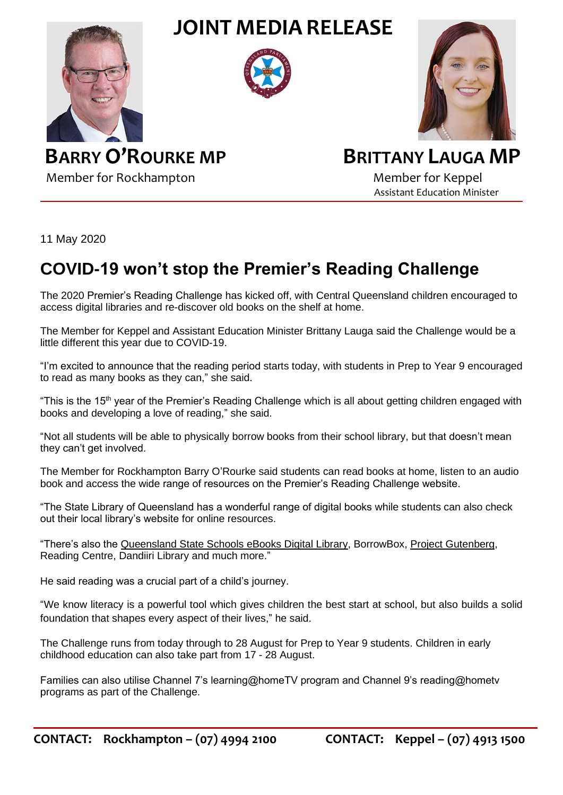**JOINT MEDIA RELEASE**







 **BARRY O'ROURKE MP BRITTANY LAUGA MP**

Member for Rockhampton Member for Keppel Assistant Education Minister

11 May 2020

## **COVID-19 won't stop the Premier's Reading Challenge**

The 2020 Premier's Reading Challenge has kicked off, with Central Queensland children encouraged to access digital libraries and re-discover old books on the shelf at home.

The Member for Keppel and Assistant Education Minister Brittany Lauga said the Challenge would be a little different this year due to COVID-19.

"I'm excited to announce that the reading period starts today, with students in Prep to Year 9 encouraged to read as many books as they can," she said.

"This is the 15<sup>th</sup> year of the Premier's Reading Challenge which is all about getting children engaged with books and developing a love of reading," she said.

"Not all students will be able to physically borrow books from their school library, but that doesn't mean they can't get involved.

The Member for Rockhampton Barry O'Rourke said students can read books at home, listen to an audio book and access the wide range of resources on the Premier's Reading Challenge website.

"The State Library of Queensland has a wonderful range of digital books while students can also check out their local library's website for online resources.

"There's also the [Queensland State Schools eBooks Digital Library,](https://eduqueenslandau.libraryreserve.com/10/45/en/SignIn.htm?url=Default.htm) [BorrowBox,](https://www.borrowbox.com/) [Project Gutenberg,](https://www.gutenberg.org/) Reading Centre, Dandiiri Library and much more."

He said reading was a crucial part of a child's journey.

"We know literacy is a powerful tool which gives children the best start at school, but also builds a solid foundation that shapes every aspect of their lives," he said.

The Challenge runs from today through to 28 August for Prep to Year 9 students. Children in early childhood education can also take part from 17 - 28 August.

Families can also utilise Channel 7's learning@homeTV program and Channel 9's reading@hometv programs as part of the Challenge.